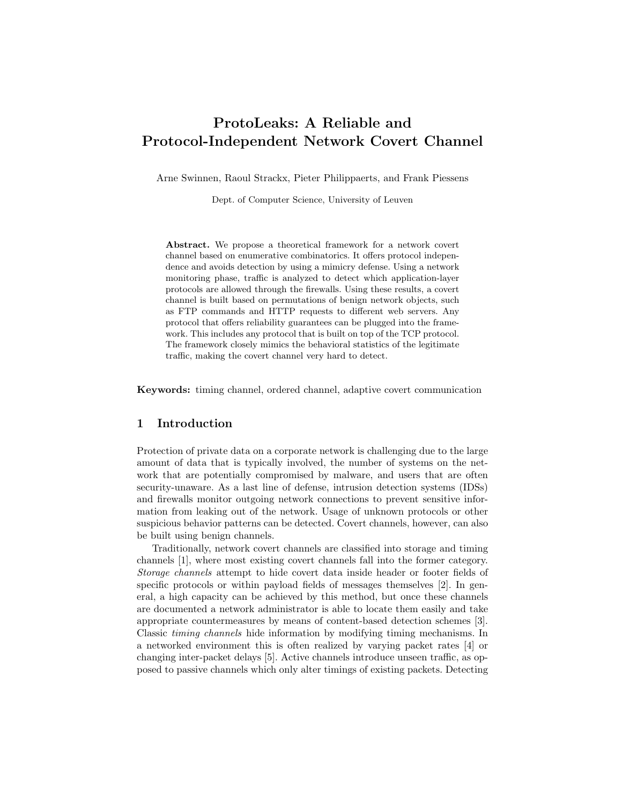# ProtoLeaks: A Reliable and Protocol-Independent Network Covert Channel

Arne Swinnen, Raoul Strackx, Pieter Philippaerts, and Frank Piessens

Dept. of Computer Science, University of Leuven

Abstract. We propose a theoretical framework for a network covert channel based on enumerative combinatorics. It offers protocol independence and avoids detection by using a mimicry defense. Using a network monitoring phase, traffic is analyzed to detect which application-layer protocols are allowed through the firewalls. Using these results, a covert channel is built based on permutations of benign network objects, such as FTP commands and HTTP requests to different web servers. Any protocol that offers reliability guarantees can be plugged into the framework. This includes any protocol that is built on top of the TCP protocol. The framework closely mimics the behavioral statistics of the legitimate traffic, making the covert channel very hard to detect.

Keywords: timing channel, ordered channel, adaptive covert communication

# 1 Introduction

Protection of private data on a corporate network is challenging due to the large amount of data that is typically involved, the number of systems on the network that are potentially compromised by malware, and users that are often security-unaware. As a last line of defense, intrusion detection systems (IDSs) and firewalls monitor outgoing network connections to prevent sensitive information from leaking out of the network. Usage of unknown protocols or other suspicious behavior patterns can be detected. Covert channels, however, can also be built using benign channels.

Traditionally, network covert channels are classified into storage and timing channels [1], where most existing covert channels fall into the former category. Storage channels attempt to hide covert data inside header or footer fields of specific protocols or within payload fields of messages themselves [2]. In general, a high capacity can be achieved by this method, but once these channels are documented a network administrator is able to locate them easily and take appropriate countermeasures by means of content-based detection schemes [3]. Classic timing channels hide information by modifying timing mechanisms. In a networked environment this is often realized by varying packet rates [4] or changing inter-packet delays [5]. Active channels introduce unseen traffic, as opposed to passive channels which only alter timings of existing packets. Detecting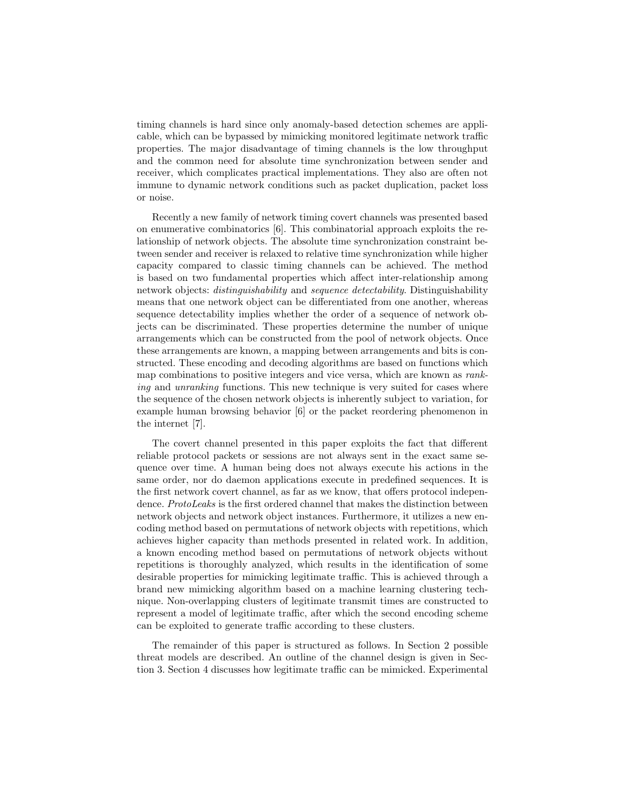timing channels is hard since only anomaly-based detection schemes are applicable, which can be bypassed by mimicking monitored legitimate network traffic properties. The major disadvantage of timing channels is the low throughput and the common need for absolute time synchronization between sender and receiver, which complicates practical implementations. They also are often not immune to dynamic network conditions such as packet duplication, packet loss or noise.

Recently a new family of network timing covert channels was presented based on enumerative combinatorics [6]. This combinatorial approach exploits the relationship of network objects. The absolute time synchronization constraint between sender and receiver is relaxed to relative time synchronization while higher capacity compared to classic timing channels can be achieved. The method is based on two fundamental properties which affect inter-relationship among network objects: distinguishability and sequence detectability. Distinguishability means that one network object can be differentiated from one another, whereas sequence detectability implies whether the order of a sequence of network objects can be discriminated. These properties determine the number of unique arrangements which can be constructed from the pool of network objects. Once these arrangements are known, a mapping between arrangements and bits is constructed. These encoding and decoding algorithms are based on functions which map combinations to positive integers and vice versa, which are known as ranking and unranking functions. This new technique is very suited for cases where the sequence of the chosen network objects is inherently subject to variation, for example human browsing behavior [6] or the packet reordering phenomenon in the internet [7].

The covert channel presented in this paper exploits the fact that different reliable protocol packets or sessions are not always sent in the exact same sequence over time. A human being does not always execute his actions in the same order, nor do daemon applications execute in predefined sequences. It is the first network covert channel, as far as we know, that offers protocol independence. ProtoLeaks is the first ordered channel that makes the distinction between network objects and network object instances. Furthermore, it utilizes a new encoding method based on permutations of network objects with repetitions, which achieves higher capacity than methods presented in related work. In addition, a known encoding method based on permutations of network objects without repetitions is thoroughly analyzed, which results in the identification of some desirable properties for mimicking legitimate traffic. This is achieved through a brand new mimicking algorithm based on a machine learning clustering technique. Non-overlapping clusters of legitimate transmit times are constructed to represent a model of legitimate traffic, after which the second encoding scheme can be exploited to generate traffic according to these clusters.

The remainder of this paper is structured as follows. In Section 2 possible threat models are described. An outline of the channel design is given in Section 3. Section 4 discusses how legitimate traffic can be mimicked. Experimental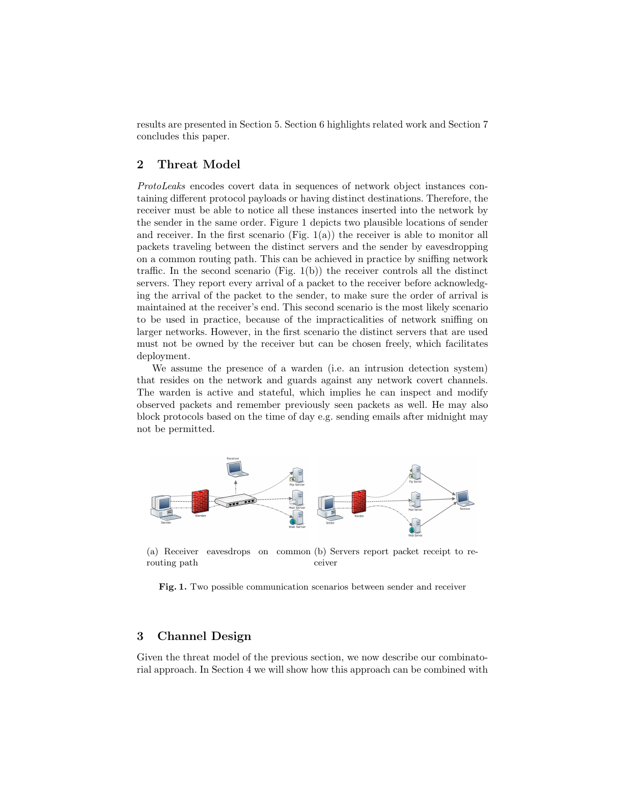results are presented in Section 5. Section 6 highlights related work and Section 7 concludes this paper.

# 2 Threat Model

ProtoLeaks encodes covert data in sequences of network object instances containing different protocol payloads or having distinct destinations. Therefore, the receiver must be able to notice all these instances inserted into the network by the sender in the same order. Figure 1 depicts two plausible locations of sender and receiver. In the first scenario (Fig.  $1(a)$ ) the receiver is able to monitor all packets traveling between the distinct servers and the sender by eavesdropping on a common routing path. This can be achieved in practice by sniffing network traffic. In the second scenario  $(Fig. 1(b))$  the receiver controls all the distinct servers. They report every arrival of a packet to the receiver before acknowledging the arrival of the packet to the sender, to make sure the order of arrival is maintained at the receiver's end. This second scenario is the most likely scenario to be used in practice, because of the impracticalities of network sniffing on larger networks. However, in the first scenario the distinct servers that are used must not be owned by the receiver but can be chosen freely, which facilitates deployment.

We assume the presence of a warden (i.e. an intrusion detection system) that resides on the network and guards against any network covert channels. The warden is active and stateful, which implies he can inspect and modify observed packets and remember previously seen packets as well. He may also block protocols based on the time of day e.g. sending emails after midnight may not be permitted.



(a) Receiver eavesdrops on common (b) Servers report packet receipt to rerouting path ceiver

Fig. 1. Two possible communication scenarios between sender and receiver

# 3 Channel Design

Given the threat model of the previous section, we now describe our combinatorial approach. In Section 4 we will show how this approach can be combined with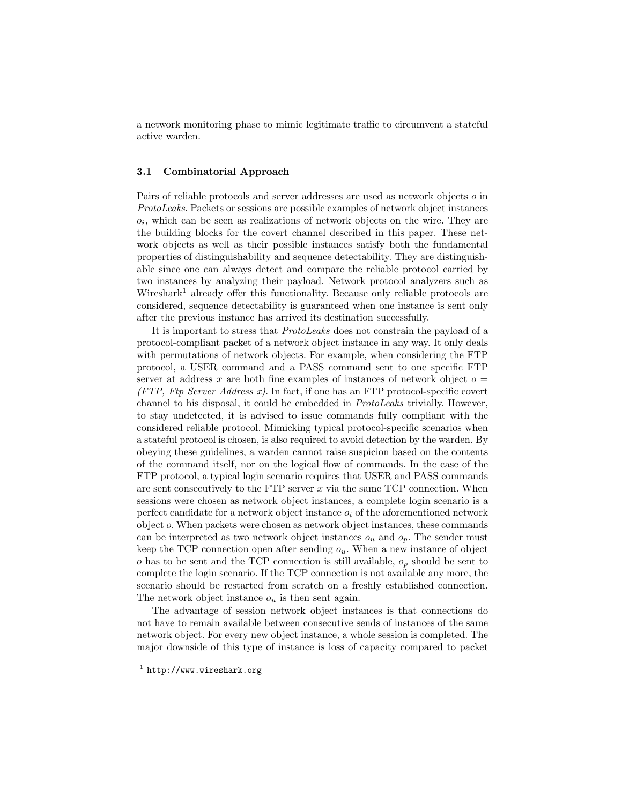a network monitoring phase to mimic legitimate traffic to circumvent a stateful active warden.

## 3.1 Combinatorial Approach

Pairs of reliable protocols and server addresses are used as network objects o in ProtoLeaks. Packets or sessions are possible examples of network object instances  $o_i$ , which can be seen as realizations of network objects on the wire. They are the building blocks for the covert channel described in this paper. These network objects as well as their possible instances satisfy both the fundamental properties of distinguishability and sequence detectability. They are distinguishable since one can always detect and compare the reliable protocol carried by two instances by analyzing their payload. Network protocol analyzers such as Wireshark<sup>1</sup> already offer this functionality. Because only reliable protocols are considered, sequence detectability is guaranteed when one instance is sent only after the previous instance has arrived its destination successfully.

It is important to stress that ProtoLeaks does not constrain the payload of a protocol-compliant packet of a network object instance in any way. It only deals with permutations of network objects. For example, when considering the FTP protocol, a USER command and a PASS command sent to one specific FTP server at address x are both fine examples of instances of network object  $o =$  $(FTP, Ftp Server Address x)$ . In fact, if one has an FTP protocol-specific covert channel to his disposal, it could be embedded in *ProtoLeaks* trivially. However, to stay undetected, it is advised to issue commands fully compliant with the considered reliable protocol. Mimicking typical protocol-specific scenarios when a stateful protocol is chosen, is also required to avoid detection by the warden. By obeying these guidelines, a warden cannot raise suspicion based on the contents of the command itself, nor on the logical flow of commands. In the case of the FTP protocol, a typical login scenario requires that USER and PASS commands are sent consecutively to the  $FTP$  server  $x$  via the same TCP connection. When sessions were chosen as network object instances, a complete login scenario is a perfect candidate for a network object instance  $o_i$  of the aforementioned network object o. When packets were chosen as network object instances, these commands can be interpreted as two network object instances  $o_u$  and  $o_p$ . The sender must keep the TCP connection open after sending  $o<sub>u</sub>$ . When a new instance of object  $o$  has to be sent and the TCP connection is still available,  $o_p$  should be sent to complete the login scenario. If the TCP connection is not available any more, the scenario should be restarted from scratch on a freshly established connection. The network object instance  $o_u$  is then sent again.

The advantage of session network object instances is that connections do not have to remain available between consecutive sends of instances of the same network object. For every new object instance, a whole session is completed. The major downside of this type of instance is loss of capacity compared to packet

 $1$  http://www.wireshark.org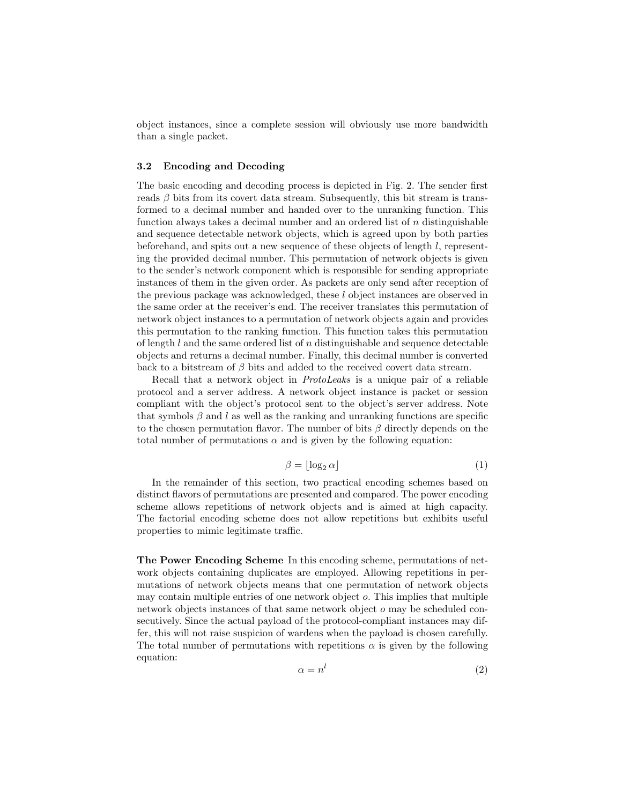object instances, since a complete session will obviously use more bandwidth than a single packet.

# 3.2 Encoding and Decoding

The basic encoding and decoding process is depicted in Fig. 2. The sender first reads  $\beta$  bits from its covert data stream. Subsequently, this bit stream is transformed to a decimal number and handed over to the unranking function. This function always takes a decimal number and an ordered list of  $n$  distinguishable and sequence detectable network objects, which is agreed upon by both parties beforehand, and spits out a new sequence of these objects of length l, representing the provided decimal number. This permutation of network objects is given to the sender's network component which is responsible for sending appropriate instances of them in the given order. As packets are only send after reception of the previous package was acknowledged, these l object instances are observed in the same order at the receiver's end. The receiver translates this permutation of network object instances to a permutation of network objects again and provides this permutation to the ranking function. This function takes this permutation of length  $l$  and the same ordered list of  $n$  distinguishable and sequence detectable objects and returns a decimal number. Finally, this decimal number is converted back to a bitstream of  $\beta$  bits and added to the received covert data stream.

Recall that a network object in ProtoLeaks is a unique pair of a reliable protocol and a server address. A network object instance is packet or session compliant with the object's protocol sent to the object's server address. Note that symbols  $\beta$  and l as well as the ranking and unranking functions are specific to the chosen permutation flavor. The number of bits  $\beta$  directly depends on the total number of permutations  $\alpha$  and is given by the following equation:

$$
\beta = \lfloor \log_2 \alpha \rfloor \tag{1}
$$

In the remainder of this section, two practical encoding schemes based on distinct flavors of permutations are presented and compared. The power encoding scheme allows repetitions of network objects and is aimed at high capacity. The factorial encoding scheme does not allow repetitions but exhibits useful properties to mimic legitimate traffic.

The Power Encoding Scheme In this encoding scheme, permutations of network objects containing duplicates are employed. Allowing repetitions in permutations of network objects means that one permutation of network objects may contain multiple entries of one network object o. This implies that multiple network objects instances of that same network object o may be scheduled consecutively. Since the actual payload of the protocol-compliant instances may differ, this will not raise suspicion of wardens when the payload is chosen carefully. The total number of permutations with repetitions  $\alpha$  is given by the following equation:

$$
\alpha = n^l \tag{2}
$$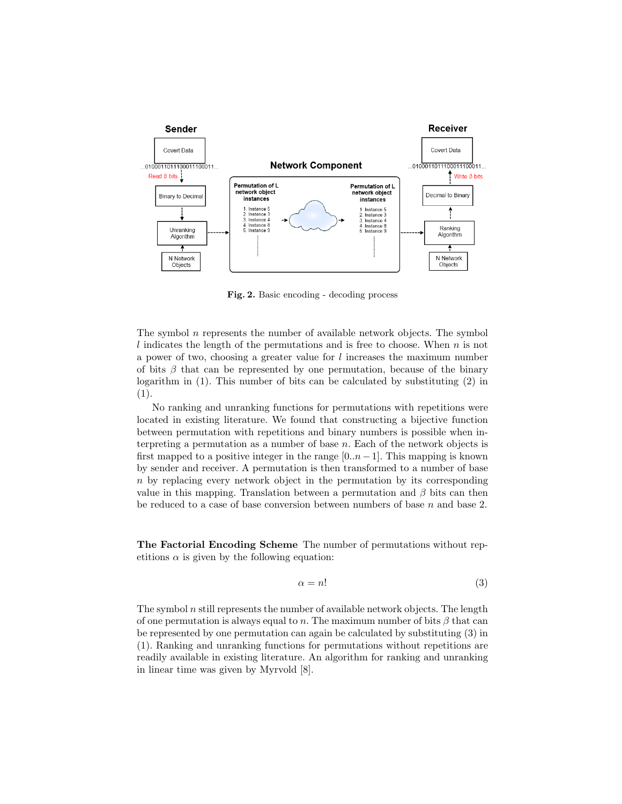

Fig. 2. Basic encoding - decoding process

The symbol  $n$  represents the number of available network objects. The symbol l indicates the length of the permutations and is free to choose. When  $n$  is not a power of two, choosing a greater value for  $l$  increases the maximum number of bits  $\beta$  that can be represented by one permutation, because of the binary logarithm in (1). This number of bits can be calculated by substituting (2) in (1).

No ranking and unranking functions for permutations with repetitions were located in existing literature. We found that constructing a bijective function between permutation with repetitions and binary numbers is possible when interpreting a permutation as a number of base  $n$ . Each of the network objects is first mapped to a positive integer in the range  $[0..n-1]$ . This mapping is known by sender and receiver. A permutation is then transformed to a number of base n by replacing every network object in the permutation by its corresponding value in this mapping. Translation between a permutation and  $\beta$  bits can then be reduced to a case of base conversion between numbers of base  $n$  and base 2.

The Factorial Encoding Scheme The number of permutations without repetitions  $\alpha$  is given by the following equation:

$$
\alpha = n! \tag{3}
$$

The symbol  $n$  still represents the number of available network objects. The length of one permutation is always equal to n. The maximum number of bits  $\beta$  that can be represented by one permutation can again be calculated by substituting (3) in (1). Ranking and unranking functions for permutations without repetitions are readily available in existing literature. An algorithm for ranking and unranking in linear time was given by Myrvold [8].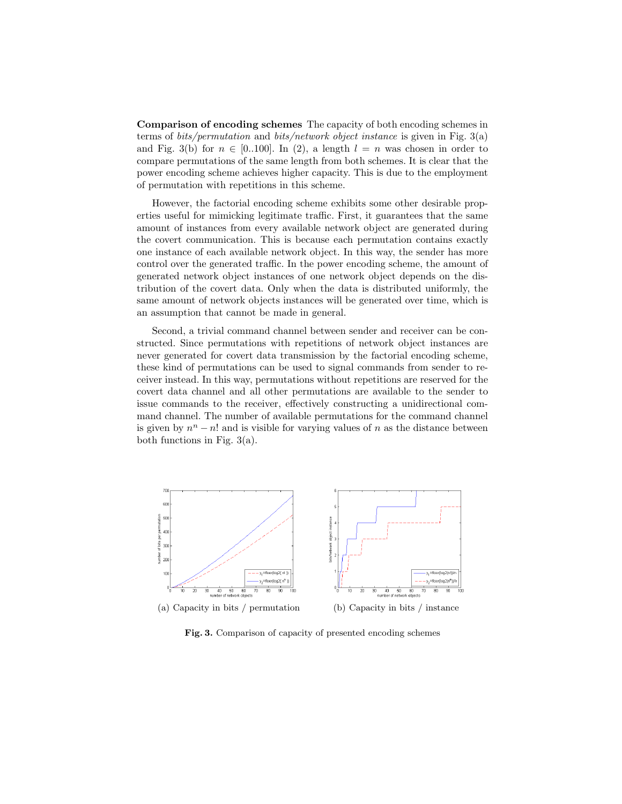Comparison of encoding schemes The capacity of both encoding schemes in terms of bits/permutation and bits/network object instance is given in Fig. 3(a) and Fig. 3(b) for  $n \in [0..100]$ . In (2), a length  $l = n$  was chosen in order to compare permutations of the same length from both schemes. It is clear that the power encoding scheme achieves higher capacity. This is due to the employment of permutation with repetitions in this scheme.

However, the factorial encoding scheme exhibits some other desirable properties useful for mimicking legitimate traffic. First, it guarantees that the same amount of instances from every available network object are generated during the covert communication. This is because each permutation contains exactly one instance of each available network object. In this way, the sender has more control over the generated traffic. In the power encoding scheme, the amount of generated network object instances of one network object depends on the distribution of the covert data. Only when the data is distributed uniformly, the same amount of network objects instances will be generated over time, which is an assumption that cannot be made in general.

Second, a trivial command channel between sender and receiver can be constructed. Since permutations with repetitions of network object instances are never generated for covert data transmission by the factorial encoding scheme, these kind of permutations can be used to signal commands from sender to receiver instead. In this way, permutations without repetitions are reserved for the covert data channel and all other permutations are available to the sender to issue commands to the receiver, effectively constructing a unidirectional command channel. The number of available permutations for the command channel is given by  $n^n - n!$  and is visible for varying values of n as the distance between both functions in Fig. 3(a).



Fig. 3. Comparison of capacity of presented encoding schemes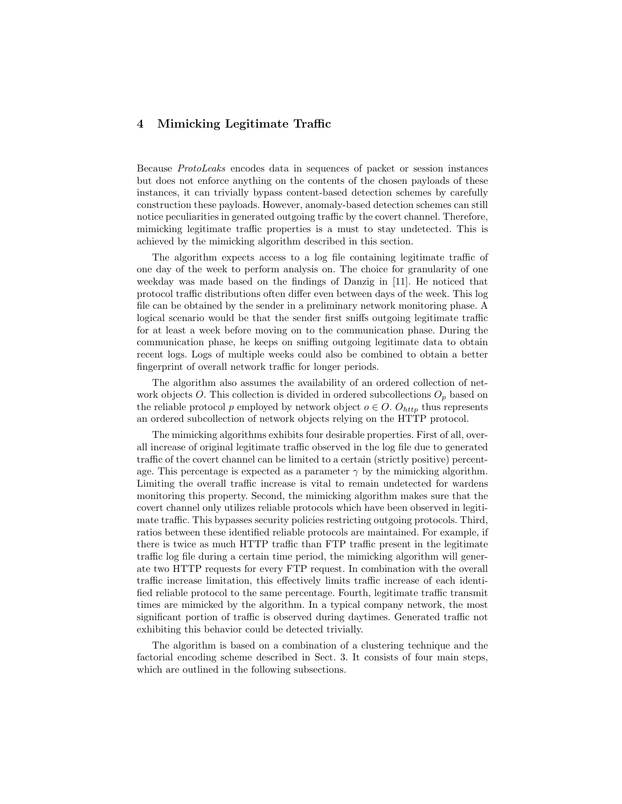# 4 Mimicking Legitimate Traffic

Because ProtoLeaks encodes data in sequences of packet or session instances but does not enforce anything on the contents of the chosen payloads of these instances, it can trivially bypass content-based detection schemes by carefully construction these payloads. However, anomaly-based detection schemes can still notice peculiarities in generated outgoing traffic by the covert channel. Therefore, mimicking legitimate traffic properties is a must to stay undetected. This is achieved by the mimicking algorithm described in this section.

The algorithm expects access to a log file containing legitimate traffic of one day of the week to perform analysis on. The choice for granularity of one weekday was made based on the findings of Danzig in [11]. He noticed that protocol traffic distributions often differ even between days of the week. This log file can be obtained by the sender in a preliminary network monitoring phase. A logical scenario would be that the sender first sniffs outgoing legitimate traffic for at least a week before moving on to the communication phase. During the communication phase, he keeps on sniffing outgoing legitimate data to obtain recent logs. Logs of multiple weeks could also be combined to obtain a better fingerprint of overall network traffic for longer periods.

The algorithm also assumes the availability of an ordered collection of network objects O. This collection is divided in ordered subcollections  $O_p$  based on the reliable protocol p employed by network object  $o \in O$ .  $O_{http}$  thus represents an ordered subcollection of network objects relying on the HTTP protocol.

The mimicking algorithms exhibits four desirable properties. First of all, overall increase of original legitimate traffic observed in the log file due to generated traffic of the covert channel can be limited to a certain (strictly positive) percentage. This percentage is expected as a parameter  $\gamma$  by the mimicking algorithm. Limiting the overall traffic increase is vital to remain undetected for wardens monitoring this property. Second, the mimicking algorithm makes sure that the covert channel only utilizes reliable protocols which have been observed in legitimate traffic. This bypasses security policies restricting outgoing protocols. Third, ratios between these identified reliable protocols are maintained. For example, if there is twice as much HTTP traffic than FTP traffic present in the legitimate traffic log file during a certain time period, the mimicking algorithm will generate two HTTP requests for every FTP request. In combination with the overall traffic increase limitation, this effectively limits traffic increase of each identified reliable protocol to the same percentage. Fourth, legitimate traffic transmit times are mimicked by the algorithm. In a typical company network, the most significant portion of traffic is observed during daytimes. Generated traffic not exhibiting this behavior could be detected trivially.

The algorithm is based on a combination of a clustering technique and the factorial encoding scheme described in Sect. 3. It consists of four main steps, which are outlined in the following subsections.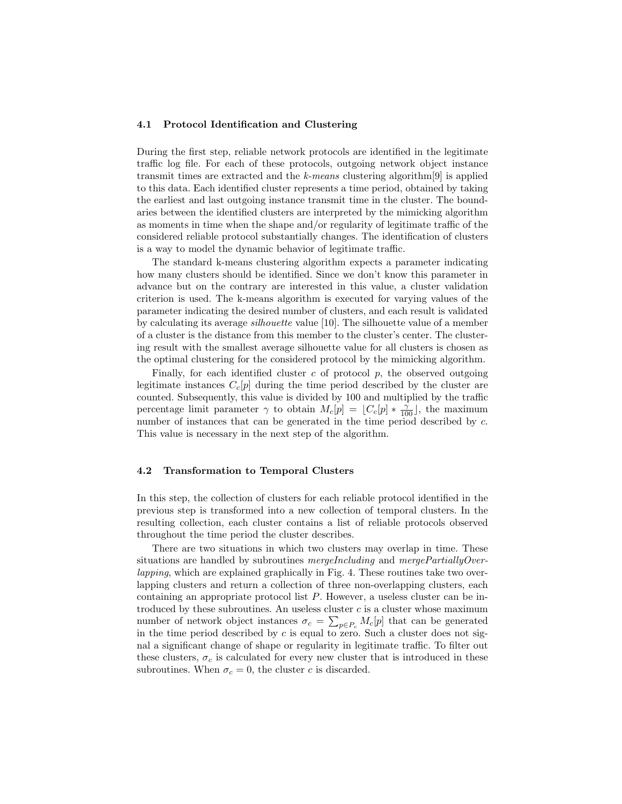#### 4.1 Protocol Identification and Clustering

During the first step, reliable network protocols are identified in the legitimate traffic log file. For each of these protocols, outgoing network object instance transmit times are extracted and the  $k$ -means clustering algorithm<sup>[9]</sup> is applied to this data. Each identified cluster represents a time period, obtained by taking the earliest and last outgoing instance transmit time in the cluster. The boundaries between the identified clusters are interpreted by the mimicking algorithm as moments in time when the shape and/or regularity of legitimate traffic of the considered reliable protocol substantially changes. The identification of clusters is a way to model the dynamic behavior of legitimate traffic.

The standard k-means clustering algorithm expects a parameter indicating how many clusters should be identified. Since we don't know this parameter in advance but on the contrary are interested in this value, a cluster validation criterion is used. The k-means algorithm is executed for varying values of the parameter indicating the desired number of clusters, and each result is validated by calculating its average silhouette value [10]. The silhouette value of a member of a cluster is the distance from this member to the cluster's center. The clustering result with the smallest average silhouette value for all clusters is chosen as the optimal clustering for the considered protocol by the mimicking algorithm.

Finally, for each identified cluster  $c$  of protocol  $p$ , the observed outgoing legitimate instances  $C_c[p]$  during the time period described by the cluster are counted. Subsequently, this value is divided by 100 and multiplied by the traffic percentage limit parameter  $\gamma$  to obtain  $M_c[p] = [C_c[p] * \frac{\gamma}{100}]$ , the maximum number of instances that can be generated in the time period described by c. This value is necessary in the next step of the algorithm.

#### 4.2 Transformation to Temporal Clusters

In this step, the collection of clusters for each reliable protocol identified in the previous step is transformed into a new collection of temporal clusters. In the resulting collection, each cluster contains a list of reliable protocols observed throughout the time period the cluster describes.

There are two situations in which two clusters may overlap in time. These situations are handled by subroutines *mergeIncluding* and *mergePartiallyOver*lapping, which are explained graphically in Fig. 4. These routines take two overlapping clusters and return a collection of three non-overlapping clusters, each containing an appropriate protocol list  $P$ . However, a useless cluster can be introduced by these subroutines. An useless cluster  $c$  is a cluster whose maximum number of network object instances  $\sigma_c = \sum_{p \in P_c} M_c[p]$  that can be generated in the time period described by  $c$  is equal to zero. Such a cluster does not signal a significant change of shape or regularity in legitimate traffic. To filter out these clusters,  $\sigma_c$  is calculated for every new cluster that is introduced in these subroutines. When  $\sigma_c = 0$ , the cluster c is discarded.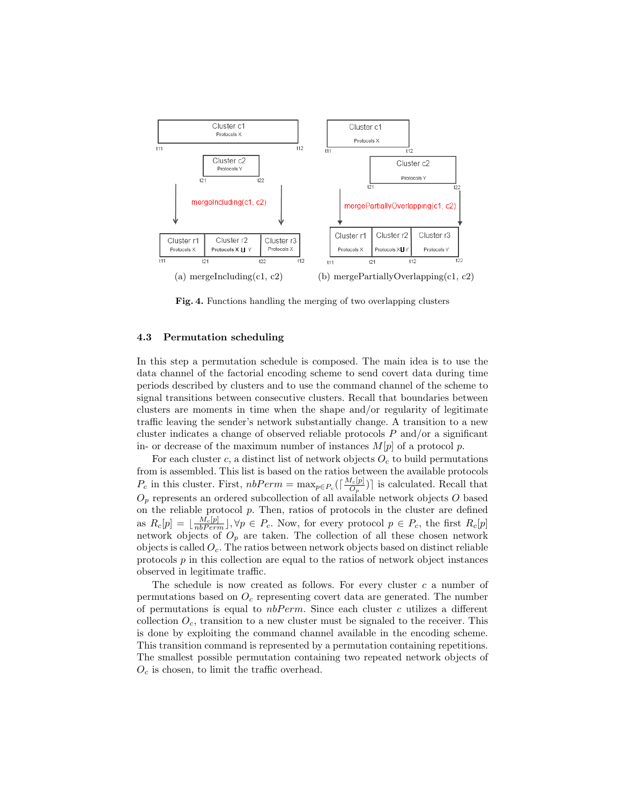

Fig. 4. Functions handling the merging of two overlapping clusters

#### 4.3 Permutation scheduling

In this step a permutation schedule is composed. The main idea is to use the data channel of the factorial encoding scheme to send covert data during time periods described by clusters and to use the command channel of the scheme to signal transitions between consecutive clusters. Recall that boundaries between clusters are moments in time when the shape and/or regularity of legitimate traffic leaving the sender's network substantially change. A transition to a new cluster indicates a change of observed reliable protocols  $P$  and/or a significant in- or decrease of the maximum number of instances  $M[p]$  of a protocol p.

For each cluster c, a distinct list of network objects  $O<sub>c</sub>$  to build permutations from is assembled. This list is based on the ratios between the available protocols  $P_c$  in this cluster. First,  $nbPerm = \max_{p \in P_c} \left( \left\lceil \frac{M_c[p]}{Q_n} \right\rceil \right)$  $\frac{q_c[p]}{O_p}$ ) is calculated. Recall that  $O_p$  represents an ordered subcollection of all available network objects O based on the reliable protocol  $p$ . Then, ratios of protocols in the cluster are defined as  $R_c[p] = \lfloor \frac{M_c[p]}{nbPerm} \rfloor, \forall p \in P_c$ . Now, for every protocol  $p \in P_c$ , the first  $R_c[p]$ network objects of  $O_p$  are taken. The collection of all these chosen network objects is called  $O<sub>c</sub>$ . The ratios between network objects based on distinct reliable protocols  $p$  in this collection are equal to the ratios of network object instances observed in legitimate traffic.

The schedule is now created as follows. For every cluster  $c$  a number of permutations based on  $O<sub>c</sub>$  representing covert data are generated. The number of permutations is equal to  $nbPerm$ . Since each cluster c utilizes a different collection  $O_c$ , transition to a new cluster must be signaled to the receiver. This is done by exploiting the command channel available in the encoding scheme. This transition command is represented by a permutation containing repetitions. The smallest possible permutation containing two repeated network objects of  $O<sub>c</sub>$  is chosen, to limit the traffic overhead.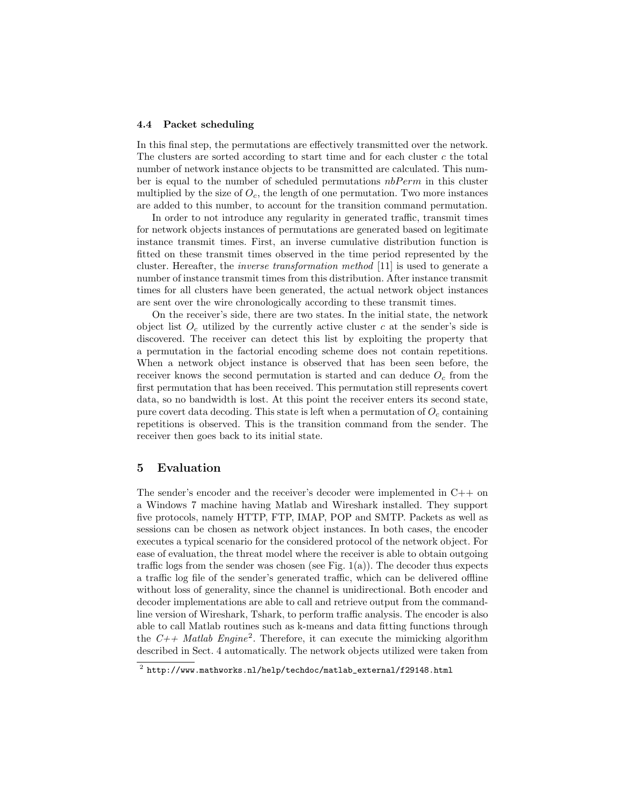#### 4.4 Packet scheduling

In this final step, the permutations are effectively transmitted over the network. The clusters are sorted according to start time and for each cluster  $c$  the total number of network instance objects to be transmitted are calculated. This number is equal to the number of scheduled permutations  $nbPerm$  in this cluster multiplied by the size of  $O_c$ , the length of one permutation. Two more instances are added to this number, to account for the transition command permutation.

In order to not introduce any regularity in generated traffic, transmit times for network objects instances of permutations are generated based on legitimate instance transmit times. First, an inverse cumulative distribution function is fitted on these transmit times observed in the time period represented by the cluster. Hereafter, the inverse transformation method [11] is used to generate a number of instance transmit times from this distribution. After instance transmit times for all clusters have been generated, the actual network object instances are sent over the wire chronologically according to these transmit times.

On the receiver's side, there are two states. In the initial state, the network object list  $O_c$  utilized by the currently active cluster c at the sender's side is discovered. The receiver can detect this list by exploiting the property that a permutation in the factorial encoding scheme does not contain repetitions. When a network object instance is observed that has been seen before, the receiver knows the second permutation is started and can deduce  $O<sub>c</sub>$  from the first permutation that has been received. This permutation still represents covert data, so no bandwidth is lost. At this point the receiver enters its second state, pure covert data decoding. This state is left when a permutation of  $O_c$  containing repetitions is observed. This is the transition command from the sender. The receiver then goes back to its initial state.

## 5 Evaluation

The sender's encoder and the receiver's decoder were implemented in C++ on a Windows 7 machine having Matlab and Wireshark installed. They support five protocols, namely HTTP, FTP, IMAP, POP and SMTP. Packets as well as sessions can be chosen as network object instances. In both cases, the encoder executes a typical scenario for the considered protocol of the network object. For ease of evaluation, the threat model where the receiver is able to obtain outgoing traffic logs from the sender was chosen (see Fig.  $1(a)$ ). The decoder thus expects a traffic log file of the sender's generated traffic, which can be delivered offline without loss of generality, since the channel is unidirectional. Both encoder and decoder implementations are able to call and retrieve output from the commandline version of Wireshark, Tshark, to perform traffic analysis. The encoder is also able to call Matlab routines such as k-means and data fitting functions through the  $C++$  Matlab Engine<sup>2</sup>. Therefore, it can execute the mimicking algorithm described in Sect. 4 automatically. The network objects utilized were taken from

 $^2$  http://www.mathworks.nl/help/techdoc/matlab\_external/f29148.html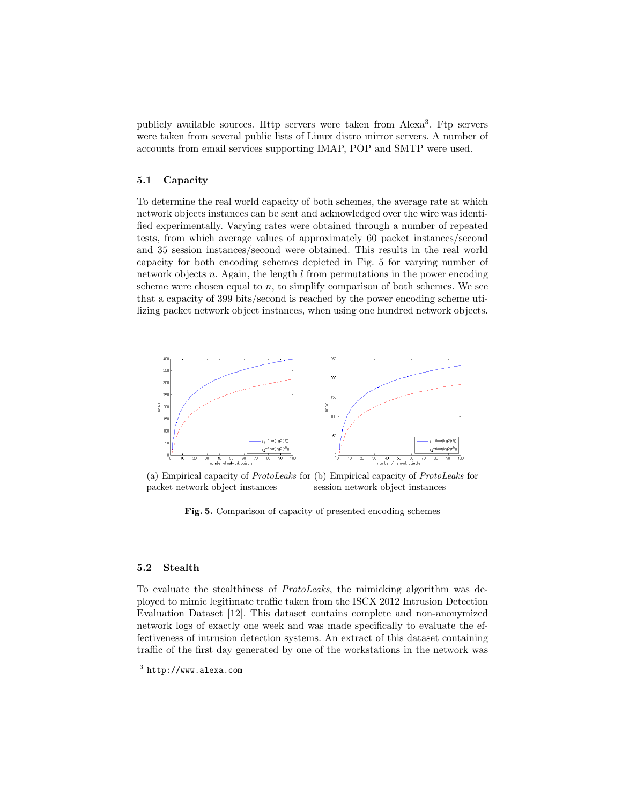publicly available sources. Http servers were taken from Alexa<sup>3</sup>. Ftp servers were taken from several public lists of Linux distro mirror servers. A number of accounts from email services supporting IMAP, POP and SMTP were used.

#### 5.1 Capacity

To determine the real world capacity of both schemes, the average rate at which network objects instances can be sent and acknowledged over the wire was identified experimentally. Varying rates were obtained through a number of repeated tests, from which average values of approximately 60 packet instances/second and 35 session instances/second were obtained. This results in the real world capacity for both encoding schemes depicted in Fig. 5 for varying number of network objects  $n$ . Again, the length  $l$  from permutations in the power encoding scheme were chosen equal to  $n$ , to simplify comparison of both schemes. We see that a capacity of 399 bits/second is reached by the power encoding scheme utilizing packet network object instances, when using one hundred network objects.



(a) Empirical capacity of ProtoLeaks for (b) Empirical capacity of ProtoLeaks for packet network object instances session network object instances

Fig. 5. Comparison of capacity of presented encoding schemes

#### 5.2 Stealth

To evaluate the stealthiness of ProtoLeaks, the mimicking algorithm was deployed to mimic legitimate traffic taken from the ISCX 2012 Intrusion Detection Evaluation Dataset [12]. This dataset contains complete and non-anonymized network logs of exactly one week and was made specifically to evaluate the effectiveness of intrusion detection systems. An extract of this dataset containing traffic of the first day generated by one of the workstations in the network was

 $^3$  http://www.alexa.com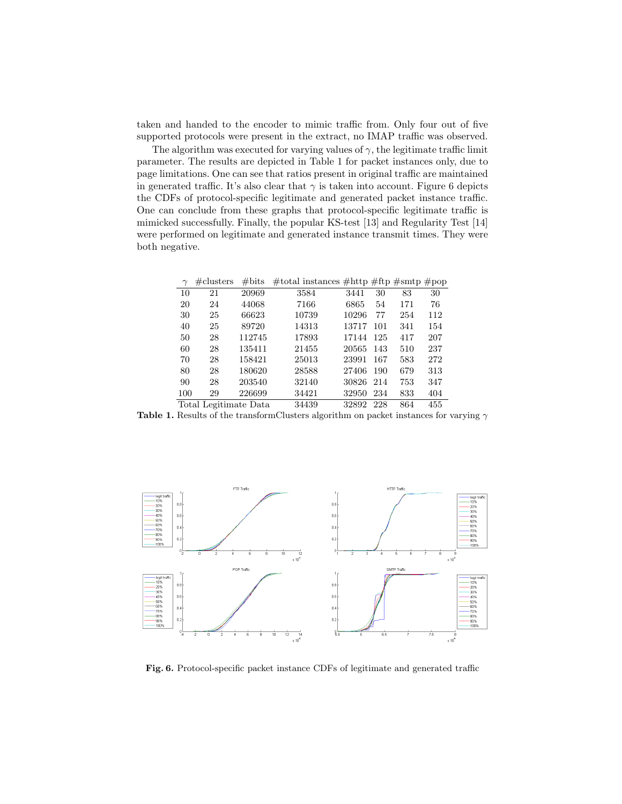taken and handed to the encoder to mimic traffic from. Only four out of five supported protocols were present in the extract, no IMAP traffic was observed.

The algorithm was executed for varying values of  $\gamma$ , the legitimate traffic limit parameter. The results are depicted in Table 1 for packet instances only, due to page limitations. One can see that ratios present in original traffic are maintained in generated traffic. It's also clear that  $\gamma$  is taken into account. Figure 6 depicts the CDFs of protocol-specific legitimate and generated packet instance traffic. One can conclude from these graphs that protocol-specific legitimate traffic is mimicked successfully. Finally, the popular KS-test [13] and Regularity Test [14] were performed on legitimate and generated instance transmit times. They were both negative.

|                       | $\#$ clusters | #bits  | $\#$ total instances $\#$ http $\#$ ftp $\#$ smtp $\#$ pop |       |     |     |     |
|-----------------------|---------------|--------|------------------------------------------------------------|-------|-----|-----|-----|
| 10                    | 21            | 20969  | 3584                                                       | 3441  | 30  | 83  | 30  |
| 20                    | 24            | 44068  | 7166                                                       | 6865  | 54  | 171 | 76  |
| 30                    | 25            | 66623  | 10739                                                      | 10296 | 77  | 254 | 112 |
| 40                    | 25            | 89720  | 14313                                                      | 13717 | 101 | 341 | 154 |
| 50                    | 28            | 112745 | 17893                                                      | 17144 | 125 | 417 | 207 |
| 60                    | 28            | 135411 | 21455                                                      | 20565 | 143 | 510 | 237 |
| 70                    | 28            | 158421 | 25013                                                      | 23991 | 167 | 583 | 272 |
| 80                    | 28            | 180620 | 28588                                                      | 27406 | 190 | 679 | 313 |
| 90                    | 28            | 203540 | 32140                                                      | 30826 | 214 | 753 | 347 |
| 100                   | 29            | 226699 | 34421                                                      | 32950 | 234 | 833 | 404 |
| Total Legitimate Data |               |        | 34439                                                      | 32892 | 228 | 864 | 455 |

Table 1. Results of the transform<br>Clusters algorithm on packet instances for varying  $\gamma$ 



Fig. 6. Protocol-specific packet instance CDFs of legitimate and generated traffic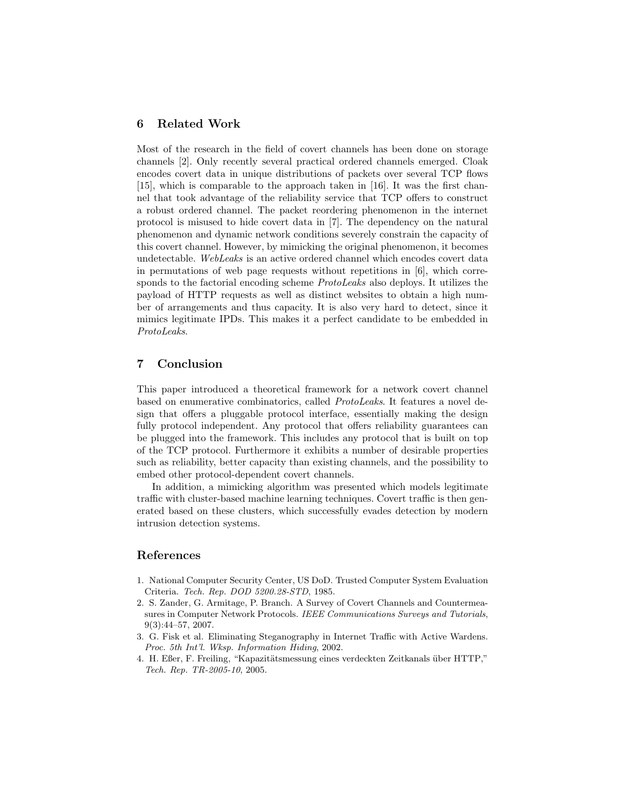## 6 Related Work

Most of the research in the field of covert channels has been done on storage channels [2]. Only recently several practical ordered channels emerged. Cloak encodes covert data in unique distributions of packets over several TCP flows [15], which is comparable to the approach taken in [16]. It was the first channel that took advantage of the reliability service that TCP offers to construct a robust ordered channel. The packet reordering phenomenon in the internet protocol is misused to hide covert data in [7]. The dependency on the natural phenomenon and dynamic network conditions severely constrain the capacity of this covert channel. However, by mimicking the original phenomenon, it becomes undetectable. WebLeaks is an active ordered channel which encodes covert data in permutations of web page requests without repetitions in [6], which corresponds to the factorial encoding scheme *ProtoLeaks* also deploys. It utilizes the payload of HTTP requests as well as distinct websites to obtain a high number of arrangements and thus capacity. It is also very hard to detect, since it mimics legitimate IPDs. This makes it a perfect candidate to be embedded in ProtoLeaks.

## 7 Conclusion

This paper introduced a theoretical framework for a network covert channel based on enumerative combinatorics, called ProtoLeaks. It features a novel design that offers a pluggable protocol interface, essentially making the design fully protocol independent. Any protocol that offers reliability guarantees can be plugged into the framework. This includes any protocol that is built on top of the TCP protocol. Furthermore it exhibits a number of desirable properties such as reliability, better capacity than existing channels, and the possibility to embed other protocol-dependent covert channels.

In addition, a mimicking algorithm was presented which models legitimate traffic with cluster-based machine learning techniques. Covert traffic is then generated based on these clusters, which successfully evades detection by modern intrusion detection systems.

## References

- 1. National Computer Security Center, US DoD. Trusted Computer System Evaluation Criteria. Tech. Rep. DOD 5200.28-STD, 1985.
- 2. S. Zander, G. Armitage, P. Branch. A Survey of Covert Channels and Countermeasures in Computer Network Protocols. IEEE Communications Surveys and Tutorials, 9(3):44–57, 2007.
- 3. G. Fisk et al. Eliminating Steganography in Internet Traffic with Active Wardens. Proc. 5th Int'l. Wksp. Information Hiding, 2002.
- 4. H. Eßer, F. Freiling, "Kapazitätsmessung eines verdeckten Zeitkanals über HTTP," Tech. Rep. TR-2005-10, 2005.